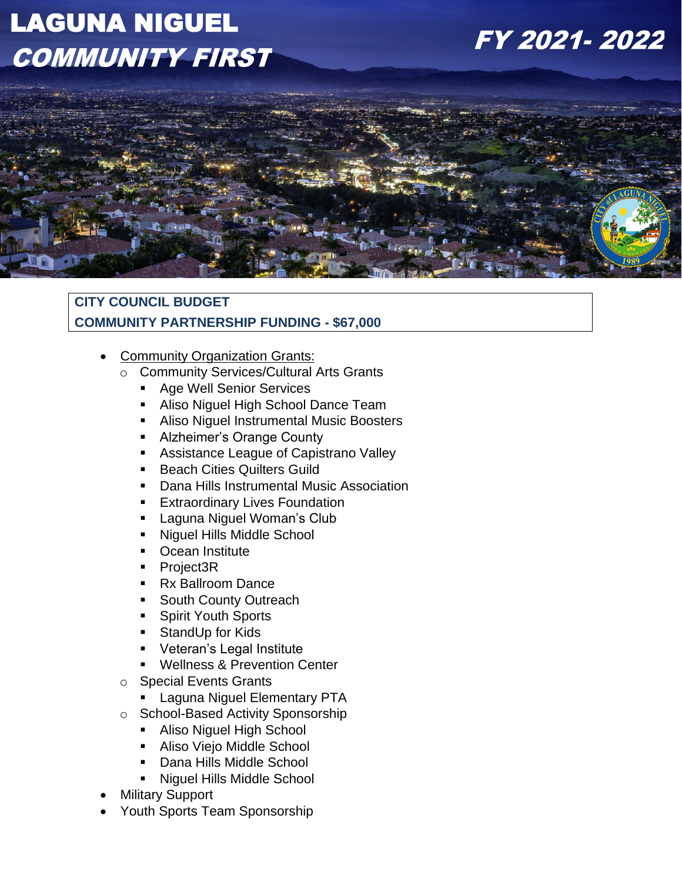# LAGUNA NIGUEL **COMMUNITY FIRST**

## FY 2021-2022



### **CITY COUNCIL BUDGET COMMUNITY PARTNERSHIP FUNDING - \$67,000**

- Community Organization Grants:
	- o Community Services/Cultural Arts Grants
		- Age Well Senior Services
		- **EXEDEN** Aliso Niguel High School Dance Team
		- Aliso Niguel Instrumental Music Boosters
		- Alzheimer's Orange County
		- Assistance League of Capistrano Valley
		- Beach Cities Quilters Guild
		- Dana Hills Instrumental Music Association
		- **Extraordinary Lives Foundation**
		- **E** Laguna Niguel Woman's Club
		- Niguel Hills Middle School
		- Ocean Institute
		- Project3R
		- Rx Ballroom Dance
		- South County Outreach
		- Spirit Youth Sports
		- StandUp for Kids
		- Veteran's Legal Institute
		- Wellness & Prevention Center
	- o Special Events Grants
		- **E** Laguna Niguel Elementary PTA
	- o School-Based Activity Sponsorship
		- Aliso Niguel High School
		- Aliso Viejo Middle School
		- **Dana Hills Middle School**
		- Niguel Hills Middle School
- **Military Support**
- Youth Sports Team Sponsorship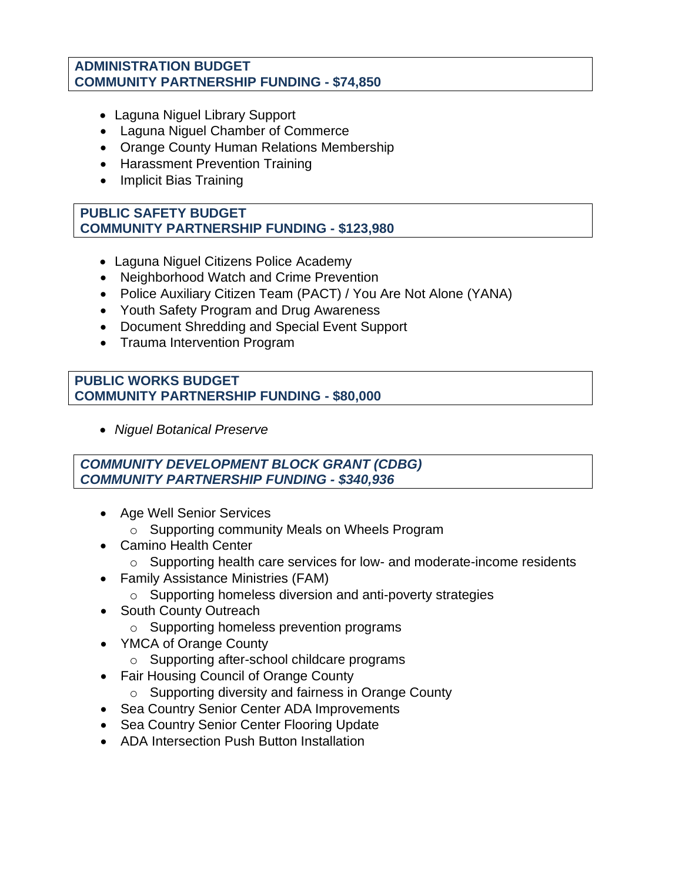#### **ADMINISTRATION BUDGET COMMUNITY PARTNERSHIP FUNDING - \$74,850**

- Laguna Niguel Library Support
- Laguna Niguel Chamber of Commerce
- Orange County Human Relations Membership
- Harassment Prevention Training
- Implicit Bias Training

#### **PUBLIC SAFETY BUDGET COMMUNITY PARTNERSHIP FUNDING - \$123,980**

- Laguna Niguel Citizens Police Academy
- Neighborhood Watch and Crime Prevention
- Police Auxiliary Citizen Team (PACT) / You Are Not Alone (YANA)
- Youth Safety Program and Drug Awareness
- Document Shredding and Special Event Support
- Trauma Intervention Program

#### **PUBLIC WORKS BUDGET COMMUNITY PARTNERSHIP FUNDING - \$80,000**

• *Niguel Botanical Preserve* 

#### *COMMUNITY DEVELOPMENT BLOCK GRANT (CDBG) COMMUNITY PARTNERSHIP FUNDING - \$340,936*

- Age Well Senior Services
	- o Supporting community Meals on Wheels Program
- Camino Health Center
	- o Supporting health care services for low- and moderate-income residents
- Family Assistance Ministries (FAM)
	- o Supporting homeless diversion and anti-poverty strategies
- South County Outreach
	- o Supporting homeless prevention programs
- YMCA of Orange County
	- o Supporting after-school childcare programs
- Fair Housing Council of Orange County
	- o Supporting diversity and fairness in Orange County
- Sea Country Senior Center ADA Improvements
- Sea Country Senior Center Flooring Update
- ADA Intersection Push Button Installation